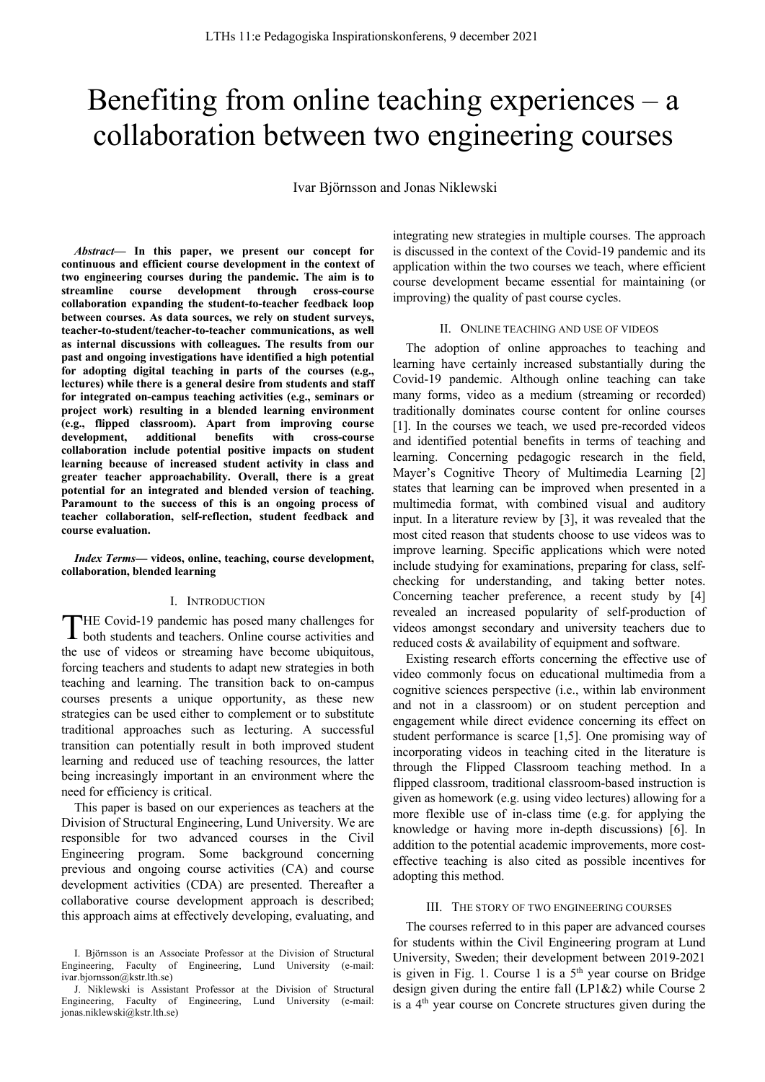# Benefiting from online teaching experiences – a collaboration between two engineering courses

Ivar Björnsson and Jonas Niklewski

*Abstract***— In this paper, we present our concept for continuous and efficient course development in the context of two engineering courses during the pandemic. The aim is to streamline course development through cross-course collaboration expanding the student-to-teacher feedback loop between courses. As data sources, we rely on student surveys, teacher-to-student/teacher-to-teacher communications, as well as internal discussions with colleagues. The results from our past and ongoing investigations have identified a high potential for adopting digital teaching in parts of the courses (e.g., lectures) while there is a general desire from students and staff for integrated on-campus teaching activities (e.g., seminars or project work) resulting in a blended learning environment (e.g., flipped classroom). Apart from improving course development, additional benefits with cross-course collaboration include potential positive impacts on student learning because of increased student activity in class and greater teacher approachability. Overall, there is a great potential for an integrated and blended version of teaching. Paramount to the success of this is an ongoing process of teacher collaboration, self-reflection, student feedback and course evaluation.**

*Index Terms***— videos, online, teaching, course development, collaboration, blended learning**

## I. INTRODUCTION

HE Covid-19 pandemic has posed many challenges for THE Covid-19 pandemic has posed many challenges for both students and teachers. Online course activities and the use of videos or streaming have become ubiquitous, forcing teachers and students to adapt new strategies in both teaching and learning. The transition back to on-campus courses presents a unique opportunity, as these new strategies can be used either to complement or to substitute traditional approaches such as lecturing. A successful transition can potentially result in both improved student learning and reduced use of teaching resources, the latter being increasingly important in an environment where the need for efficiency is critical.

This paper is based on our experiences as teachers at the Division of Structural Engineering, Lund University. We are responsible for two advanced courses in the Civil Engineering program. Some background concerning previous and ongoing course activities (CA) and course development activities (CDA) are presented. Thereafter a collaborative course development approach is described; this approach aims at effectively developing, evaluating, and integrating new strategies in multiple courses. The approach is discussed in the context of the Covid-19 pandemic and its application within the two courses we teach, where efficient course development became essential for maintaining (or improving) the quality of past course cycles.

#### II. ONLINE TEACHING AND USE OF VIDEOS

The adoption of online approaches to teaching and learning have certainly increased substantially during the Covid-19 pandemic. Although online teaching can take many forms, video as a medium (streaming or recorded) traditionally dominates course content for online courses [1]. In the courses we teach, we used pre-recorded videos and identified potential benefits in terms of teaching and learning. Concerning pedagogic research in the field, Mayer's Cognitive Theory of Multimedia Learning [2] states that learning can be improved when presented in a multimedia format, with combined visual and auditory input. In a literature review by [3], it was revealed that the most cited reason that students choose to use videos was to improve learning. Specific applications which were noted include studying for examinations, preparing for class, selfchecking for understanding, and taking better notes. Concerning teacher preference, a recent study by [4] revealed an increased popularity of self-production of videos amongst secondary and university teachers due to reduced costs & availability of equipment and software.

Existing research efforts concerning the effective use of video commonly focus on educational multimedia from a cognitive sciences perspective (i.e., within lab environment and not in a classroom) or on student perception and engagement while direct evidence concerning its effect on student performance is scarce [1,5]. One promising way of incorporating videos in teaching cited in the literature is through the Flipped Classroom teaching method. In a flipped classroom, traditional classroom-based instruction is given as homework (e.g. using video lectures) allowing for a more flexible use of in-class time (e.g. for applying the knowledge or having more in-depth discussions) [6]. In addition to the potential academic improvements, more costeffective teaching is also cited as possible incentives for adopting this method.

## III. THE STORY OF TWO ENGINEERING COURSES

The courses referred to in this paper are advanced courses for students within the Civil Engineering program at Lund University, Sweden; their development between 2019-2021 is given in Fig. 1. Course 1 is a  $5<sup>th</sup>$  year course on Bridge design given during the entire fall (LP1&2) while Course 2 is a 4<sup>th</sup> year course on Concrete structures given during the

I. Björnsson is an Associate Professor at the Division of Structural Engineering, Faculty of Engineering, Lund University (e-mail: ivar.bjornsson@kstr.lth.se)

J. Niklewski is Assistant Professor at the Division of Structural Engineering, Faculty of Engineering, Lund University (e-mail: jonas.niklewski@kstr.lth.se)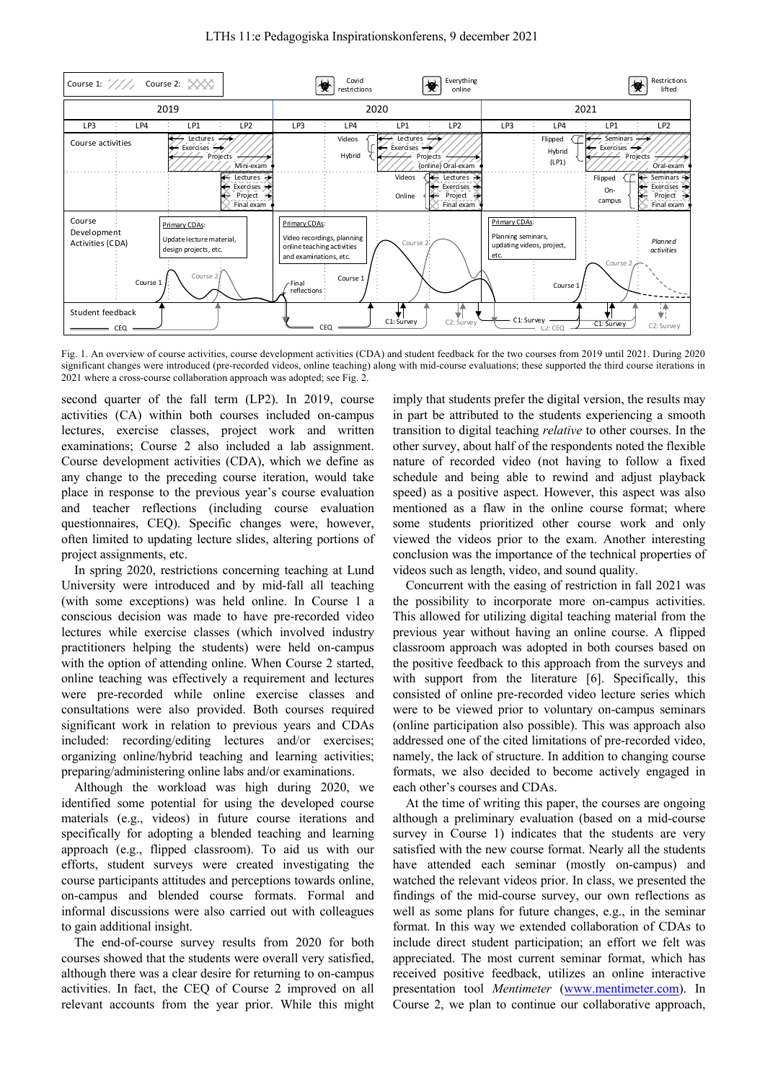

Fig. 1. An overview of course activities, course development activities (CDA) and student feedback for the two courses from 2019 until 2021. During 2020 significant changes were introduced (pre-recorded videos, online teaching) along with mid-course evaluations; these supported the third course iterations in 2021 where a cross-course collaboration approach was adopted; see Fig. 2.

second quarter of the fall term (LP2). In 2019, course activities (CA) within both courses included on-campus lectures, exercise classes, project work and written examinations; Course 2 also included a lab assignment. Course development activities (CDA), which we define as any change to the preceding course iteration, would take place in response to the previous year's course evaluation and teacher reflections (including course evaluation questionnaires, CEQ). Specific changes were, however, often limited to updating lecture slides, altering portions of project assignments, etc.

In spring 2020, restrictions concerning teaching at Lund University were introduced and by mid-fall all teaching (with some exceptions) was held online. In Course 1 a conscious decision was made to have pre-recorded video lectures while exercise classes (which involved industry practitioners helping the students) were held on-campus with the option of attending online. When Course 2 started, online teaching was effectively a requirement and lectures were pre-recorded while online exercise classes and consultations were also provided. Both courses required significant work in relation to previous years and CDAs included: recording/editing lectures and/or exercises; organizing online/hybrid teaching and learning activities; preparing/administering online labs and/or examinations.

Although the workload was high during 2020, we identified some potential for using the developed course materials (e.g., videos) in future course iterations and specifically for adopting a blended teaching and learning approach (e.g., flipped classroom). To aid us with our efforts, student surveys were created investigating the course participants attitudes and perceptions towards online, on-campus and blended course formats. Formal and informal discussions were also carried out with colleagues to gain additional insight.

The end-of-course survey results from 2020 for both courses showed that the students were overall very satisfied, although there was a clear desire for returning to on-campus activities. In fact, the CEQ of Course 2 improved on all relevant accounts from the year prior. While this might imply that students prefer the digital version, the results may in part be attributed to the students experiencing a smooth transition to digital teaching *relative* to other courses. In the other survey, about half of the respondents noted the flexible nature of recorded video (not having to follow a fixed schedule and being able to rewind and adjust playback speed) as a positive aspect. However, this aspect was also mentioned as a flaw in the online course format; where some students prioritized other course work and only viewed the videos prior to the exam. Another interesting conclusion was the importance of the technical properties of videos such as length, video, and sound quality.

Concurrent with the easing of restriction in fall 2021 was the possibility to incorporate more on-campus activities. This allowed for utilizing digital teaching material from the previous year without having an online course. A flipped classroom approach was adopted in both courses based on the positive feedback to this approach from the surveys and with support from the literature [6]. Specifically, this consisted of online pre-recorded video lecture series which were to be viewed prior to voluntary on-campus seminars (online participation also possible). This was approach also addressed one of the cited limitations of pre-recorded video, namely, the lack of structure. In addition to changing course formats, we also decided to become actively engaged in each other's courses and CDAs.

At the time of writing this paper, the courses are ongoing although a preliminary evaluation (based on a mid-course survey in Course 1) indicates that the students are very satisfied with the new course format. Nearly all the students have attended each seminar (mostly on-campus) and watched the relevant videos prior. In class, we presented the findings of the mid-course survey, our own reflections as well as some plans for future changes, e.g., in the seminar format. In this way we extended collaboration of CDAs to include direct student participation; an effort we felt was appreciated. The most current seminar format, which has received positive feedback, utilizes an online interactive presentation tool *Mentimeter* (www.mentimeter.com). In Course 2, we plan to continue our collaborative approach,